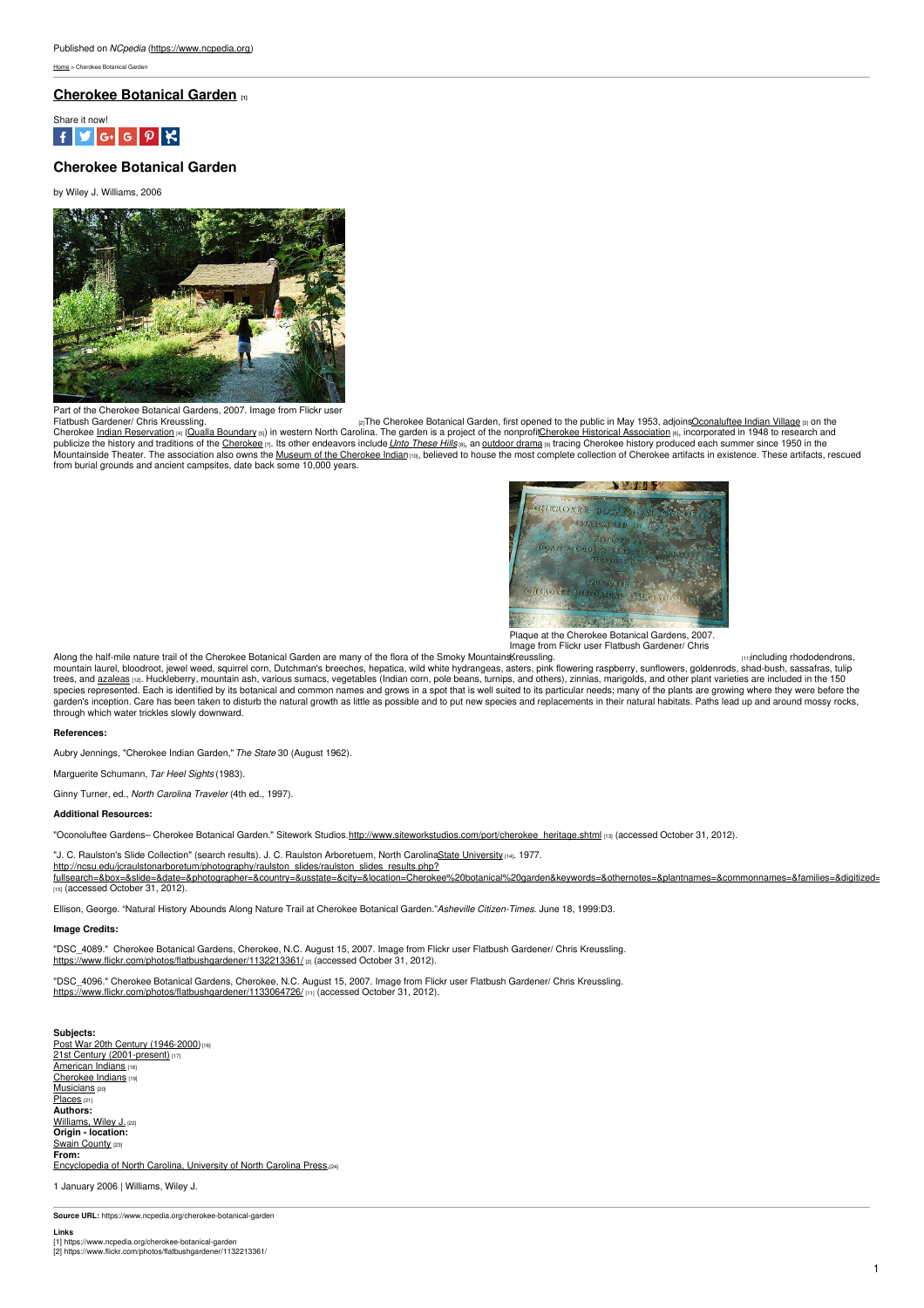[Home](https://www.ncpedia.org/) > Cherokee Botanical Garden

## **[Cherokee](https://www.ncpedia.org/cherokee-botanical-garden) Botanical Garden [1]**



# **Cherokee Botanical Garden**

by Wiley J. Williams, 2006



Part of the Cherokee Botanical Gardens, 2007. Image from Flickr user

Flatbush Gardener/ Chris [Kreussling.](https://www.flickr.com/photos/flatbushgardener/1132213361/)<br>Cherokee <u>Indian Neservation</u> <sub>In (</sub>Qualla Boundary ) in western North Carolin Carolers in Cherokee Botanical Garden, first opened to the public in May 1953, adjoins<u>[Oconaluftee](https://www.ncpedia.org/oconaluftee-indian-village) India</u> from burial grounds and ancient campsites, date back some 10,000 years.



Plaque at the Cherokee Botanical Gardens, 2007. Image from Flickr user Flatbush Gardener/ Chris

Along the half-mile nature trail of the Cherokee Botanical Garden are many of the flora of the Smoky Mountains, reussling. Along the half-mile nature trail of the Cherokee Botanical Garden are many of the flora of the Smoky Mountains[Kreussling.](https://www.flickr.com/photos/flatbushgardener/1133064726/)<br>mountain laurel, bloodroot, jewel weed, squirrel corn, Dutchman's breeches, hepatica, wild white hy species represented. Each is identified by its botanical and common names and grows in a spot that is well suited to its particular needs; many of the plants are growing where they were before the<br>garden's inception. Care through which water trickles slowly downward.

### **References:**

Aubry Jennings, "Cherokee Indian Garden,"*The State* 30 (August 1962).

Marguerite Schumann, *Tar Heel Sights* (1983).

Ginny Turner, ed., *North Carolina Traveler* (4th ed., 1997).

### **Additional Resources:**

"Oconoluftee Gardens- Cherokee Botanical Garden." Sitework Studios[.http://www.siteworkstudios.com/port/cherokee\\_heritage.shtml](http://www.siteworkstudios.com/port/cherokee_heritage.shtml) [13] (accessed October 31, 2012).

"J. C. Raulston's Slide Collection" (search results). J. C. Raulston Arboretuem, North CarolinaState [University](https://www.ncpedia.org/winston-salem-state-university) [14]. 1977.

http://ncsu.edu/jcraulstonarboretum/photography/raulston\_slides/raulston\_slides\_results.php? [fullsearch=&box=&slide=&date=&photographer=&country=&usstate=&city=&location=Cherokee%20botanical%20garden&keywords=&othernotes=&plantnames=&commonnames=&families=&digitized=&plantnameID=](http://ncsu.edu/jcraulstonarboretum/photography/raulston_slides/raulston_slides_results.php?fullsearch=&box=&slide=&date=&photographer=&country=&usstate=&city=&location=Cherokee botanical garden&keywords=&othernotes=&plantnames=&commonnames=&families=&digitized=&plantnameID=) [15] (accessed October 31, 2012).

Ellison, George. "Natural History Abounds Along Nature Trail at Cherokee Botanical Garden."*Asheville Citizen-Times*. June 18, 1999:D3.

#### **Image Credits:**

"DSC\_4089." Cherokee Botanical Gardens, Cherokee, N.C. August 15, 2007. Image from Flickr user Flatbush Gardener/ Chris Kreussling. <https://www.flickr.com/photos/flatbushgardener/1132213361/> [2] (accessed October 31, 2012).

"DSC\_4096." Cherokee Botanical Gardens, Cherokee, N.C. August 15, 2007. Image from Flickr user Flatbush Gardener/ Chris Kreussling. <https://www.flickr.com/photos/flatbushgardener/1133064726/> [11] (accessed October 31, 2012).

**Subjects:** Post War 20th Century [\(1946-2000\)](https://www.ncpedia.org/category/subjects/post-war-20th-cen) 21st Century [\(2001-present\)](https://www.ncpedia.org/category/subjects/21st-century-2001) [17] [American](https://www.ncpedia.org/category/subjects/american-indian) Indians [Cherokee](https://www.ncpedia.org/category/subjects/cherokee-indians) Indians [19] **[Musicians](https://www.ncpedia.org/category/subjects/musicians)** [20] [Places](https://www.ncpedia.org/category/subjects/places) [21] **Authors:** [Williams,](https://www.ncpedia.org/category/authors/williams-wiley-j) Wiley J. (22) **Origin - location:** Swain [County](https://www.ncpedia.org/category/origin-location/mountain-3)  $23$ **From:** [Encyclopedia](https://www.ncpedia.org/category/entry-source/encyclopedia-) of North Carolina, University of North Carolina Press.[24]

1 January 2006 | Williams, Wiley J.

**Source URL:** https://www.ncpedia.org/cherokee-botanical-garden